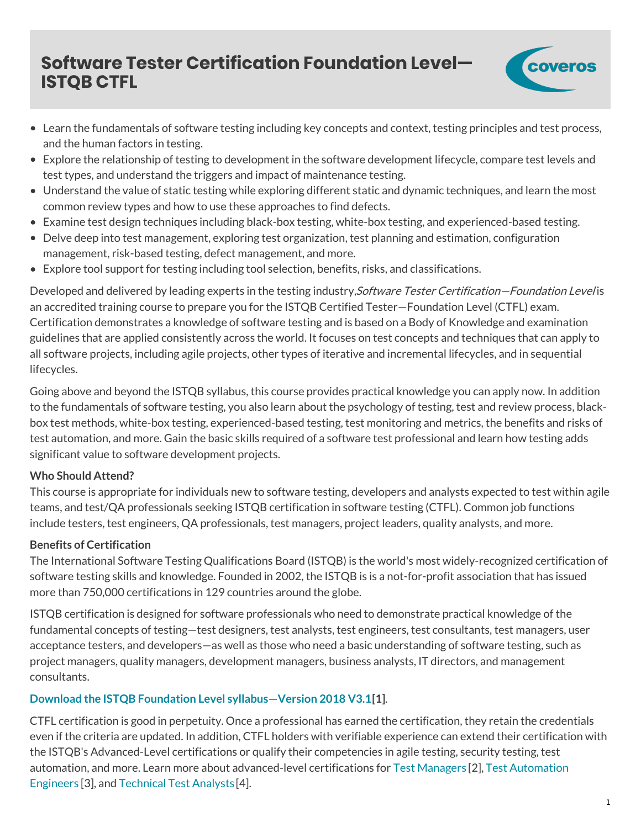# **Software Tester Certification Foundation Level— ISTQB CTFL**



- Learn the fundamentals of software testing including key concepts and context, testing principles and test process, and the human factors in testing.
- Explore the relationship of testing to development in the software development lifecycle, compare test levels and test types, and understand the triggers and impact of maintenance testing.
- Understand the value of static testing while exploring different static and dynamic techniques, and learn the most common review types and how to use these approaches to find defects.
- Examine test design techniques including black-box testing, white-box testing, and experienced-based testing.
- Delve deep into test management, exploring test organization, test planning and estimation, configuration management, risk-based testing, defect management, and more.
- Explore tool support for testing including tool selection, benefits, risks, and classifications.

Developed and delivered by leading experts in the testing industry, Software Tester Certification—Foundation Level is an accredited training course to prepare you for the ISTQB Certified Tester—Foundation Level (CTFL) exam. Certification demonstrates a knowledge of software testing and is based on a Body of Knowledge and examination guidelines that are applied consistently across the world. It focuses on test concepts and techniques that can apply to all software projects, including agile projects, other types of iterative and incremental lifecycles, and in sequential lifecycles.

Going above and beyond the ISTQB syllabus, this course provides practical knowledge you can apply now. In addition to the fundamentals of software testing, you also learn about the psychology of testing, test and review process, blackbox test methods, white-box testing, experienced-based testing, test monitoring and metrics, the benefits and risks of test automation, and more. Gain the basic skills required of a software test professional and learn how testing adds significant value to software development projects.

### **Who Should Attend?**

This course is appropriate for individuals new to software testing, developers and analysts expected to test within agile teams, and test/QA professionals seeking ISTQB certification in software testing (CTFL). Common job functions include testers, test engineers, QA professionals, test managers, project leaders, quality analysts, and more.

### **Benefits of Certification**

The International Software Testing Qualifications Board (ISTQB) is the world's most widely-recognized certification of software testing skills and knowledge. Founded in 2002, the ISTQB is is a not-for-profit association that has issued more than 750,000 certifications in 129 countries around the globe.

ISTQB certification is designed for software professionals who need to demonstrate practical knowledge of the fundamental concepts of testing—test designers, test analysts, test engineers, test consultants, test managers, user acceptance testers, and developers—as well as those who need a basic understanding of software testing, such as project managers, quality managers, development managers, business analysts, IT directors, and management consultants.

# **Download the ISTQB Foundation Level [syllabus—Version](https://training.coveros.com/sites/default/files/Training/ISTQB-CTFL_Syllabus_2018_V3.1.pdf) 2018 V3.1[1]**.

CTFL certification is good in perpetuity. Once a professional has earned the certification, they retain the credentials even if the criteria are updated. In addition, CTFL holders with verifiable experience can extend their certification with the ISTQB's Advanced-Level certifications or qualify their competencies in agile testing, security testing, test automation, and more. Learn more about [advanced-level](https://training.coveros.com/training/course/advanced-tester-certification-test-automation-engineer) certifications for Test [Managers](https://training.coveros.com/training/course/advanced-tester-certification-test-manager) [2], Test Automation Engineers [3], and [Technical](https://training.coveros.com/training/course/advanced-tester-certification-technical-test-analyst) Test Analysts [4].